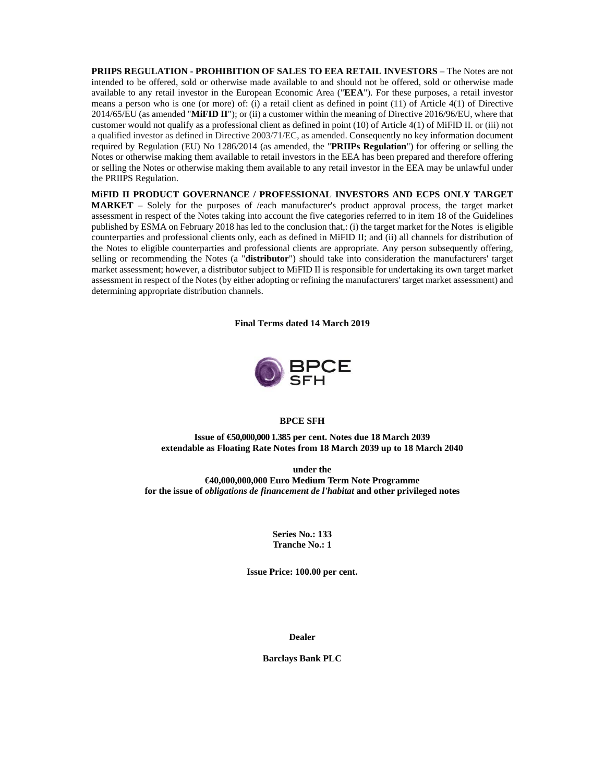**PRIIPS REGULATION - PROHIBITION OF SALES TO EEA RETAIL INVESTORS** – The Notes are not intended to be offered, sold or otherwise made available to and should not be offered, sold or otherwise made available to any retail investor in the European Economic Area ("**EEA**"). For these purposes, a retail investor means a person who is one (or more) of: (i) a retail client as defined in point (11) of Article 4(1) of Directive 2014/65/EU (as amended "**MiFID II**"); or (ii) a customer within the meaning of Directive 2016/96/EU, where that customer would not qualify as a professional client as defined in point (10) of Article 4(1) of MiFID II. or (iii) not a qualified investor as defined in Directive 2003/71/EC, as amended. Consequently no key information document required by Regulation (EU) No 1286/2014 (as amended, the "**PRIIPs Regulation**") for offering or selling the Notes or otherwise making them available to retail investors in the EEA has been prepared and therefore offering or selling the Notes or otherwise making them available to any retail investor in the EEA may be unlawful under the PRIIPS Regulation.

**MiFID II PRODUCT GOVERNANCE / PROFESSIONAL INVESTORS AND ECPS ONLY TARGET MARKET** – Solely for the purposes of /each manufacturer's product approval process, the target market assessment in respect of the Notes taking into account the five categories referred to in item 18 of the Guidelines published by ESMA on February 2018 has led to the conclusion that,: (i) the target market for the Notes is eligible counterparties and professional clients only, each as defined in MiFID II; and (ii) all channels for distribution of the Notes to eligible counterparties and professional clients are appropriate. Any person subsequently offering, selling or recommending the Notes (a "**distributor**") should take into consideration the manufacturers' target market assessment; however, a distributor subject to MiFID II is responsible for undertaking its own target market assessment in respect of the Notes (by either adopting or refining the manufacturers' target market assessment) and determining appropriate distribution channels.

**Final Terms dated 14 March 2019** 



### **BPCE SFH**

**Issue of €50,000,000 1.385 per cent. Notes due 18 March 2039 extendable as Floating Rate Notes from 18 March 2039 up to 18 March 2040** 

**under the €40,000,000,000 Euro Medium Term Note Programme for the issue of** *obligations de financement de l'habitat* **and other privileged notes** 

> **Series No.: 133 Tranche No.: 1**

**Issue Price: 100.00 per cent.** 

**Dealer** 

**Barclays Bank PLC**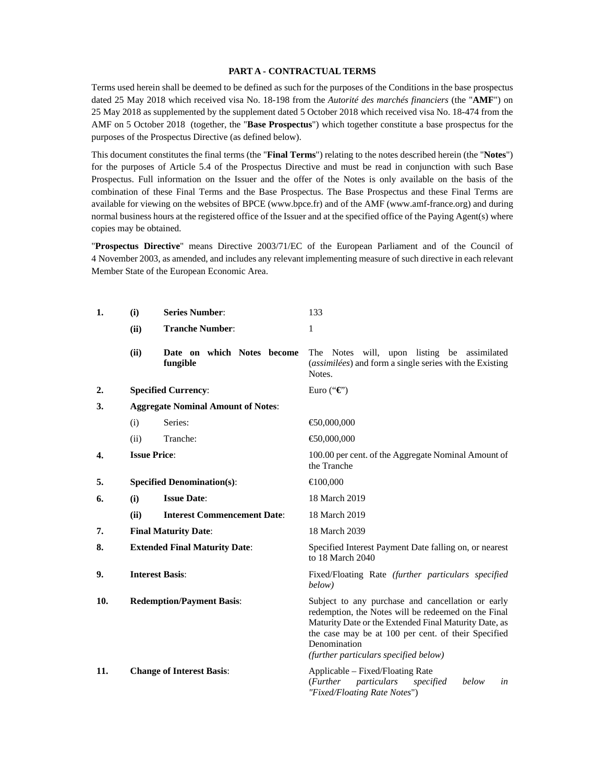### **PART A - CONTRACTUAL TERMS**

Terms used herein shall be deemed to be defined as such for the purposes of the Conditions in the base prospectus dated 25 May 2018 which received visa No. 18-198 from the *Autorité des marchés financiers* (the "**AMF**") on 25 May 2018 as supplemented by the supplement dated 5 October 2018 which received visa No. 18-474 from the AMF on 5 October 2018 (together, the "**Base Prospectus**") which together constitute a base prospectus for the purposes of the Prospectus Directive (as defined below).

This document constitutes the final terms (the "**Final Terms**") relating to the notes described herein (the "**Notes**") for the purposes of Article 5.4 of the Prospectus Directive and must be read in conjunction with such Base Prospectus. Full information on the Issuer and the offer of the Notes is only available on the basis of the combination of these Final Terms and the Base Prospectus. The Base Prospectus and these Final Terms are available for viewing on the websites of BPCE (www.bpce.fr) and of the AMF (www.amf-france.org) and during normal business hours at the registered office of the Issuer and at the specified office of the Paying Agent(s) where copies may be obtained.

"**Prospectus Directive**" means Directive 2003/71/EC of the European Parliament and of the Council of 4 November 2003, as amended, and includes any relevant implementing measure of such directive in each relevant Member State of the European Economic Area.

| 1.               | (i)                                       | <b>Series Number:</b>                  | 133                                                                                                                                                                                                                                                                               |  |
|------------------|-------------------------------------------|----------------------------------------|-----------------------------------------------------------------------------------------------------------------------------------------------------------------------------------------------------------------------------------------------------------------------------------|--|
|                  | (ii)                                      | <b>Tranche Number:</b>                 | 1                                                                                                                                                                                                                                                                                 |  |
|                  | (ii)                                      | Date on which Notes become<br>fungible | The Notes will, upon listing be assimilated<br>(assimilées) and form a single series with the Existing<br>Notes.                                                                                                                                                                  |  |
| $\overline{2}$ . |                                           | <b>Specified Currency:</b>             | Euro (" $\mathbf{\mathfrak{C}}$ ")                                                                                                                                                                                                                                                |  |
| 3.               | <b>Aggregate Nominal Amount of Notes:</b> |                                        |                                                                                                                                                                                                                                                                                   |  |
|                  | (i)                                       | Series:                                | € $0,000,000$                                                                                                                                                                                                                                                                     |  |
|                  | (ii)                                      | Tranche:                               | €0,000,000                                                                                                                                                                                                                                                                        |  |
| 4.               | <b>Issue Price:</b>                       |                                        | 100.00 per cent. of the Aggregate Nominal Amount of<br>the Tranche                                                                                                                                                                                                                |  |
| 5.               |                                           | <b>Specified Denomination(s):</b>      | $\bigoplus$ 00,000                                                                                                                                                                                                                                                                |  |
| 6.               | (i)                                       | <b>Issue Date:</b>                     | 18 March 2019                                                                                                                                                                                                                                                                     |  |
|                  | (ii)                                      | <b>Interest Commencement Date:</b>     | 18 March 2019                                                                                                                                                                                                                                                                     |  |
| 7.               |                                           | <b>Final Maturity Date:</b>            | 18 March 2039                                                                                                                                                                                                                                                                     |  |
| 8.               | <b>Extended Final Maturity Date:</b>      |                                        | Specified Interest Payment Date falling on, or nearest<br>to 18 March 2040                                                                                                                                                                                                        |  |
| 9.               | <b>Interest Basis:</b>                    |                                        | Fixed/Floating Rate (further particulars specified<br>below)                                                                                                                                                                                                                      |  |
| 10.              | <b>Redemption/Payment Basis:</b>          |                                        | Subject to any purchase and cancellation or early<br>redemption, the Notes will be redeemed on the Final<br>Maturity Date or the Extended Final Maturity Date, as<br>the case may be at 100 per cent. of their Specified<br>Denomination<br>(further particulars specified below) |  |
| 11.              |                                           | <b>Change of Interest Basis:</b>       | Applicable – Fixed/Floating Rate<br>( <i>Further</i><br>particulars<br>below<br>specified<br>in<br>"Fixed/Floating Rate Notes")                                                                                                                                                   |  |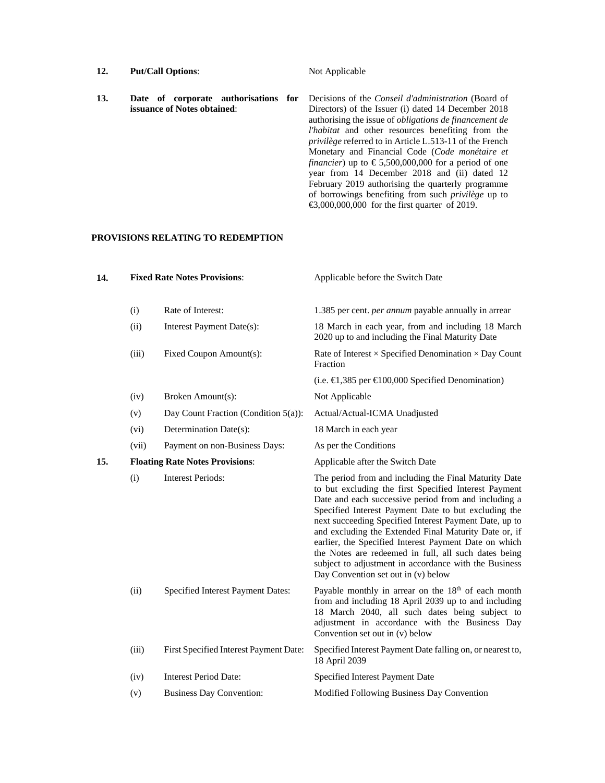| 12. | <b>Put/Call Options:</b>                                            | Not Applicable                                                                                                                                                                                                                                                                                                                                                                                                                                                                                                                                                                                                                                                               |
|-----|---------------------------------------------------------------------|------------------------------------------------------------------------------------------------------------------------------------------------------------------------------------------------------------------------------------------------------------------------------------------------------------------------------------------------------------------------------------------------------------------------------------------------------------------------------------------------------------------------------------------------------------------------------------------------------------------------------------------------------------------------------|
| 13. | Date of corporate authorisations for<br>issuance of Notes obtained: | Decisions of the Conseil d'administration (Board of<br>Directors) of the Issuer (i) dated 14 December 2018<br>authorising the issue of <i>obligations de financement de</i><br><i>l'habitat</i> and other resources benefiting from the<br><i>privilège</i> referred to in Article L.513-11 of the French<br>Monetary and Financial Code (Code monétaire et<br><i>financier</i> ) up to $\text{\textsterling}5,500,000,000$ for a period of one<br>year from 14 December 2018 and (ii) dated 12<br>February 2019 authorising the quarterly programme<br>of borrowings benefiting from such <i>privilège</i> up to<br>$\bigoplus$ ,000,000,000 for the first quarter of 2019. |

## **PROVISIONS RELATING TO REDEMPTION**

| 14. |       | <b>Fixed Rate Notes Provisions:</b>     | Applicable before the Switch Date                                                                                                                                                                                                                                                                                                                                                                                                                                                                                                                                  |
|-----|-------|-----------------------------------------|--------------------------------------------------------------------------------------------------------------------------------------------------------------------------------------------------------------------------------------------------------------------------------------------------------------------------------------------------------------------------------------------------------------------------------------------------------------------------------------------------------------------------------------------------------------------|
|     | (i)   | Rate of Interest:                       | 1.385 per cent. per annum payable annually in arrear                                                                                                                                                                                                                                                                                                                                                                                                                                                                                                               |
|     | (ii)  | Interest Payment Date(s):               | 18 March in each year, from and including 18 March<br>2020 up to and including the Final Maturity Date                                                                                                                                                                                                                                                                                                                                                                                                                                                             |
|     | (iii) | Fixed Coupon Amount(s):                 | Rate of Interest $\times$ Specified Denomination $\times$ Day Count<br>Fraction                                                                                                                                                                                                                                                                                                                                                                                                                                                                                    |
|     |       |                                         | (i.e. $\in$ 1,385 per $\in$ 100,000 Specified Denomination)                                                                                                                                                                                                                                                                                                                                                                                                                                                                                                        |
|     | (iv)  | Broken Amount(s):                       | Not Applicable                                                                                                                                                                                                                                                                                                                                                                                                                                                                                                                                                     |
|     | (v)   | Day Count Fraction (Condition $5(a)$ ): | Actual/Actual-ICMA Unadjusted                                                                                                                                                                                                                                                                                                                                                                                                                                                                                                                                      |
|     | (vi)  | Determination Date(s):                  | 18 March in each year                                                                                                                                                                                                                                                                                                                                                                                                                                                                                                                                              |
|     | (vii) | Payment on non-Business Days:           | As per the Conditions                                                                                                                                                                                                                                                                                                                                                                                                                                                                                                                                              |
| 15. |       | <b>Floating Rate Notes Provisions:</b>  | Applicable after the Switch Date                                                                                                                                                                                                                                                                                                                                                                                                                                                                                                                                   |
|     | (i)   | <b>Interest Periods:</b>                | The period from and including the Final Maturity Date<br>to but excluding the first Specified Interest Payment<br>Date and each successive period from and including a<br>Specified Interest Payment Date to but excluding the<br>next succeeding Specified Interest Payment Date, up to<br>and excluding the Extended Final Maturity Date or, if<br>earlier, the Specified Interest Payment Date on which<br>the Notes are redeemed in full, all such dates being<br>subject to adjustment in accordance with the Business<br>Day Convention set out in (v) below |
|     | (ii)  | Specified Interest Payment Dates:       | Payable monthly in arrear on the 18 <sup>th</sup> of each month<br>from and including 18 April 2039 up to and including<br>18 March 2040, all such dates being subject to<br>adjustment in accordance with the Business Day<br>Convention set out in (v) below                                                                                                                                                                                                                                                                                                     |
|     | (iii) | First Specified Interest Payment Date:  | Specified Interest Payment Date falling on, or nearest to,<br>18 April 2039                                                                                                                                                                                                                                                                                                                                                                                                                                                                                        |
|     | (iv)  | <b>Interest Period Date:</b>            | Specified Interest Payment Date                                                                                                                                                                                                                                                                                                                                                                                                                                                                                                                                    |
|     | (v)   | <b>Business Day Convention:</b>         | Modified Following Business Day Convention                                                                                                                                                                                                                                                                                                                                                                                                                                                                                                                         |
|     |       |                                         |                                                                                                                                                                                                                                                                                                                                                                                                                                                                                                                                                                    |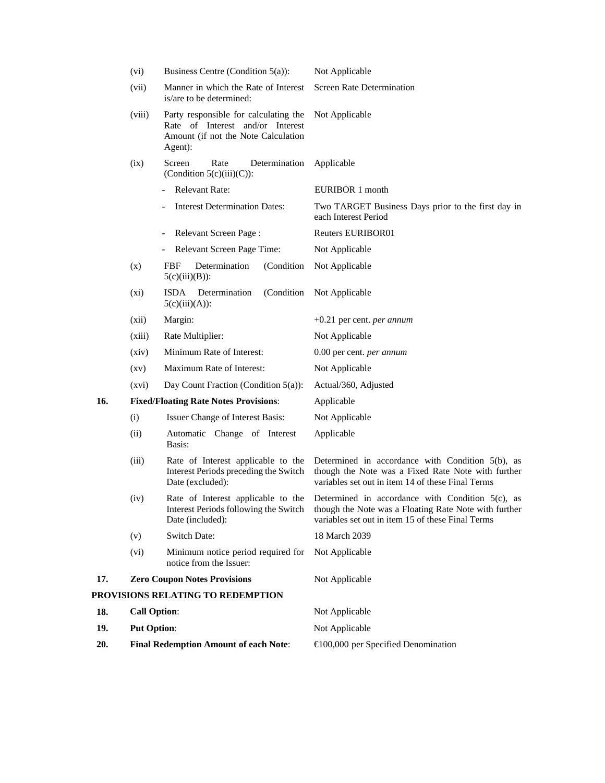|     | (vi)                | Business Centre (Condition $5(a)$ ):                                                                                        | Not Applicable                                                                                                                                                    |
|-----|---------------------|-----------------------------------------------------------------------------------------------------------------------------|-------------------------------------------------------------------------------------------------------------------------------------------------------------------|
|     | (vii)               | Manner in which the Rate of Interest<br>is/are to be determined:                                                            | <b>Screen Rate Determination</b>                                                                                                                                  |
|     | (viii)              | Party responsible for calculating the<br>Rate of Interest and/or Interest<br>Amount (if not the Note Calculation<br>Agent): | Not Applicable                                                                                                                                                    |
|     | (ix)                | Screen<br>Rate<br>Determination<br>(Condition $5(c)(iii)(C)$ ):                                                             | Applicable                                                                                                                                                        |
|     |                     | <b>Relevant Rate:</b>                                                                                                       | EURIBOR 1 month                                                                                                                                                   |
|     |                     | <b>Interest Determination Dates:</b>                                                                                        | Two TARGET Business Days prior to the first day in<br>each Interest Period                                                                                        |
|     |                     | Relevant Screen Page:<br>$\qquad \qquad -$                                                                                  | <b>Reuters EURIBOR01</b>                                                                                                                                          |
|     |                     | Relevant Screen Page Time:<br>$\overline{\phantom{a}}$                                                                      | Not Applicable                                                                                                                                                    |
|     | (x)                 | Determination<br>(Condition)<br><b>FBF</b><br>$5(c)(iii)(B))$ :                                                             | Not Applicable                                                                                                                                                    |
|     | $(x_i)$             | Determination<br>(Condition)<br>ISDA<br>$5(c)(iii)(A))$ :                                                                   | Not Applicable                                                                                                                                                    |
|     | (xii)               | Margin:                                                                                                                     | $+0.21$ per cent. <i>per annum</i>                                                                                                                                |
|     | (xiii)              | Rate Multiplier:                                                                                                            | Not Applicable                                                                                                                                                    |
|     | (xiv)               | Minimum Rate of Interest:                                                                                                   | 0.00 per cent. <i>per annum</i>                                                                                                                                   |
|     | $\left( xy\right)$  | Maximum Rate of Interest:                                                                                                   | Not Applicable                                                                                                                                                    |
|     | (xvi)               | Day Count Fraction (Condition 5(a)):                                                                                        | Actual/360, Adjusted                                                                                                                                              |
| 16. |                     | <b>Fixed/Floating Rate Notes Provisions:</b>                                                                                | Applicable                                                                                                                                                        |
|     | (i)                 | Issuer Change of Interest Basis:                                                                                            | Not Applicable                                                                                                                                                    |
|     | (ii)                | Automatic Change of Interest<br>Basis:                                                                                      | Applicable                                                                                                                                                        |
|     | (iii)               | Rate of Interest applicable to the<br>Interest Periods preceding the Switch<br>Date (excluded):                             | Determined in accordance with Condition $5(b)$ , as<br>though the Note was a Fixed Rate Note with further<br>variables set out in item 14 of these Final Terms    |
|     | (iv)                | Rate of Interest applicable to the<br>Interest Periods following the Switch<br>Date (included):                             | Determined in accordance with Condition $5(c)$ , as<br>though the Note was a Floating Rate Note with further<br>variables set out in item 15 of these Final Terms |
|     | (v)                 | <b>Switch Date:</b>                                                                                                         | 18 March 2039                                                                                                                                                     |
|     | (vi)                | Minimum notice period required for<br>notice from the Issuer:                                                               | Not Applicable                                                                                                                                                    |
| 17. |                     | <b>Zero Coupon Notes Provisions</b>                                                                                         | Not Applicable                                                                                                                                                    |
|     |                     | PROVISIONS RELATING TO REDEMPTION                                                                                           |                                                                                                                                                                   |
| 18. | <b>Call Option:</b> |                                                                                                                             | Not Applicable                                                                                                                                                    |
| 19. | <b>Put Option:</b>  |                                                                                                                             | Not Applicable                                                                                                                                                    |
| 20. |                     | <b>Final Redemption Amount of each Note:</b>                                                                                | $\bigoplus$ 00,000 per Specified Denomination                                                                                                                     |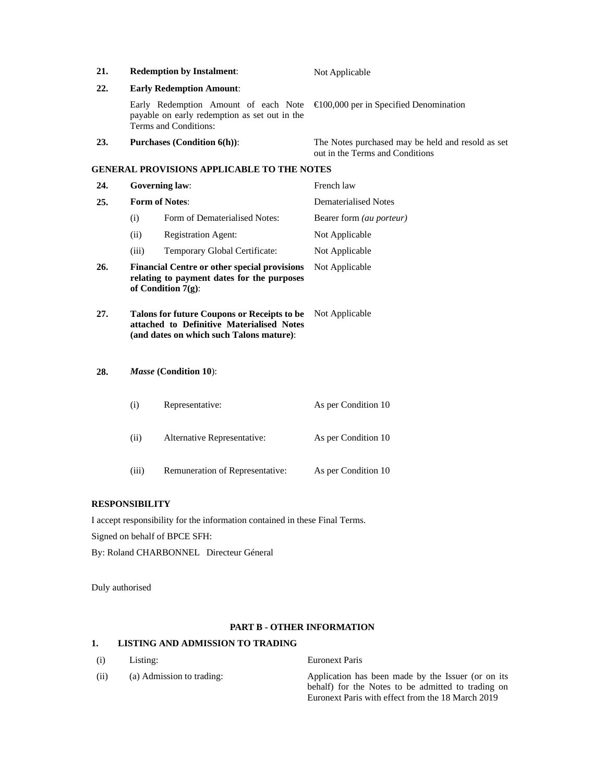| 21. |                                                                                                                                                        | <b>Redemption by Instalment:</b>                                                                                           | Not Applicable                                                                       |
|-----|--------------------------------------------------------------------------------------------------------------------------------------------------------|----------------------------------------------------------------------------------------------------------------------------|--------------------------------------------------------------------------------------|
| 22. |                                                                                                                                                        | <b>Early Redemption Amount:</b>                                                                                            |                                                                                      |
|     |                                                                                                                                                        | Early Redemption Amount of each Note<br>payable on early redemption as set out in the<br>Terms and Conditions:             | $\bigoplus$ 00,000 per in Specified Denomination                                     |
| 23. |                                                                                                                                                        | <b>Purchases (Condition 6(h)):</b>                                                                                         | The Notes purchased may be held and resold as set<br>out in the Terms and Conditions |
|     |                                                                                                                                                        | <b>GENERAL PROVISIONS APPLICABLE TO THE NOTES</b>                                                                          |                                                                                      |
| 24. |                                                                                                                                                        | <b>Governing law:</b>                                                                                                      | French law                                                                           |
| 25. |                                                                                                                                                        | <b>Form of Notes:</b>                                                                                                      | <b>Dematerialised Notes</b>                                                          |
|     | (i)                                                                                                                                                    | Form of Dematerialised Notes:                                                                                              | Bearer form (au porteur)                                                             |
|     | (ii)                                                                                                                                                   | <b>Registration Agent:</b>                                                                                                 | Not Applicable                                                                       |
|     | (iii)                                                                                                                                                  | Temporary Global Certificate:                                                                                              | Not Applicable                                                                       |
| 26. |                                                                                                                                                        | <b>Financial Centre or other special provisions</b><br>relating to payment dates for the purposes<br>of Condition $7(g)$ : | Not Applicable                                                                       |
| 27. | Talons for future Coupons or Receipts to be<br>Not Applicable<br>attached to Definitive Materialised Notes<br>(and dates on which such Talons mature): |                                                                                                                            |                                                                                      |
| 28. |                                                                                                                                                        | Masse (Condition 10):                                                                                                      |                                                                                      |
|     | (i)                                                                                                                                                    | Representative:                                                                                                            | As per Condition 10                                                                  |
|     | (ii)                                                                                                                                                   | Alternative Representative:                                                                                                | As per Condition 10                                                                  |
|     | (iii)                                                                                                                                                  | Remuneration of Representative:                                                                                            | As per Condition 10                                                                  |

# **RESPONSIBILITY**

I accept responsibility for the information contained in these Final Terms. Signed on behalf of BPCE SFH: By: Roland CHARBONNEL Directeur Géneral

Duly authorised

## **PART B - OTHER INFORMATION**

# **1. LISTING AND ADMISSION TO TRADING**

| (i)  | Listing:                  | <b>Euronext Paris</b>                                                                                                                                         |
|------|---------------------------|---------------------------------------------------------------------------------------------------------------------------------------------------------------|
| (ii) | (a) Admission to trading: | Application has been made by the Issuer (or on its<br>behalf) for the Notes to be admitted to trading on<br>Euronext Paris with effect from the 18 March 2019 |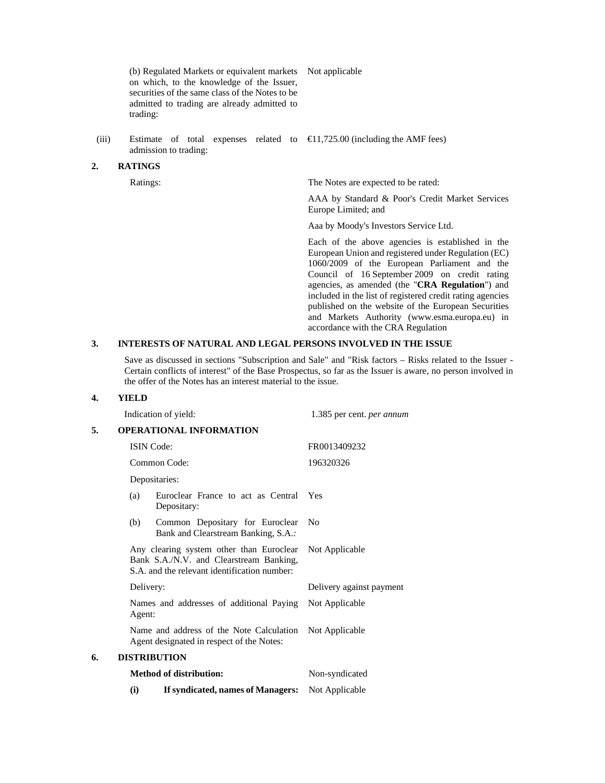(b) Regulated Markets or equivalent markets Not applicable on which, to the knowledge of the Issuer, securities of the same class of the Notes to be admitted to trading are already admitted to trading:

(iii) Estimate of total expenses related to  $\epsilon$ 1,725.00 (including the AMF fees) admission to trading:

#### **2. RATINGS**

Ratings: The Notes are expected to be rated:

 AAA by Standard & Poor's Credit Market Services Europe Limited; and

Aaa by Moody's Investors Service Ltd.

 Each of the above agencies is established in the European Union and registered under Regulation (EC) 1060/2009 of the European Parliament and the Council of 16 September 2009 on credit rating agencies, as amended (the "**CRA Regulation**") and included in the list of registered credit rating agencies published on the website of the European Securities and Markets Authority (www.esma.europa.eu) in accordance with the CRA Regulation

### **3. INTERESTS OF NATURAL AND LEGAL PERSONS INVOLVED IN THE ISSUE**

Save as discussed in sections "Subscription and Sale" and "Risk factors – Risks related to the Issuer - Certain conflicts of interest" of the Base Prospectus, so far as the Issuer is aware, no person involved in the offer of the Notes has an interest material to the issue.

#### **4. YIELD**

|    |           | Indication of yield:                                                                                                                | 1.385 per cent. per annum |
|----|-----------|-------------------------------------------------------------------------------------------------------------------------------------|---------------------------|
| 5. |           | <b>OPERATIONAL INFORMATION</b>                                                                                                      |                           |
|    |           | <b>ISIN</b> Code:                                                                                                                   | FR0013409232              |
|    |           | Common Code:                                                                                                                        | 196320326                 |
|    |           | Depositaries:                                                                                                                       |                           |
|    | (a)       | Euroclear France to act as Central<br>Depositary:                                                                                   | Yes                       |
|    | (b)       | Common Depositary for Euroclear<br>Bank and Clearstream Banking, S.A.:                                                              | N <sub>0</sub>            |
|    |           | Any clearing system other than Euroclear<br>Bank S.A./N.V. and Clearstream Banking,<br>S.A. and the relevant identification number: | Not Applicable            |
|    | Delivery: |                                                                                                                                     | Delivery against payment  |
|    | Agent:    | Names and addresses of additional Paying                                                                                            | Not Applicable            |
|    |           | Name and address of the Note Calculation<br>Agent designated in respect of the Notes:                                               | Not Applicable            |
| 6. |           | <b>DISTRIBUTION</b>                                                                                                                 |                           |
|    |           | <b>Method of distribution:</b>                                                                                                      | Non-syndicated            |
|    | (i)       | If syndicated, names of Managers:                                                                                                   | Not Applicable            |